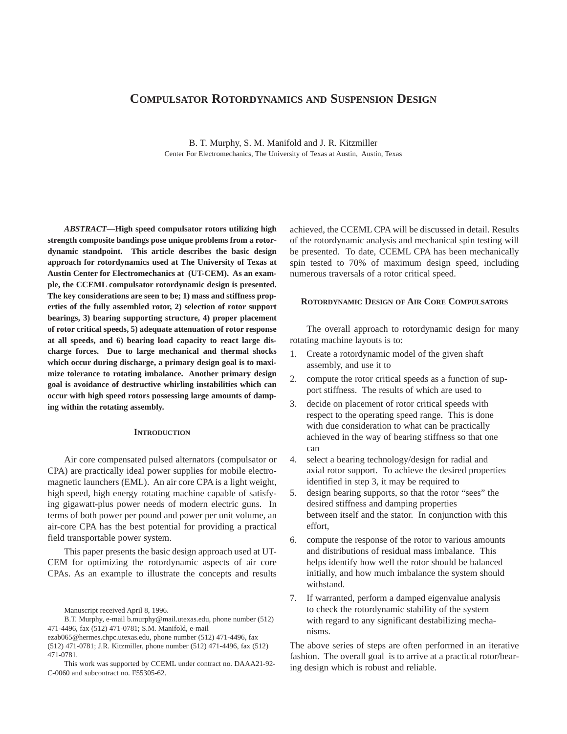# **COMPULSATOR ROTORDYNAMICS AND SUSPENSION DESIGN**

B. T. Murphy, S. M. Manifold and J. R. Kitzmiller Center For Electromechanics, The University of Texas at Austin, Austin, Texas

*ABSTRACT***—High speed compulsator rotors utilizing high strength composite bandings pose unique problems from a rotordynamic standpoint. This article describes the basic design approach for rotordynamics used at The University of Texas at Austin Center for Electromechanics at (UT-CEM). As an example, the CCEML compulsator rotordynamic design is presented. The key considerations are seen to be; 1) mass and stiffness properties of the fully assembled rotor, 2) selection of rotor support bearings, 3) bearing supporting structure, 4) proper placement of rotor critical speeds, 5) adequate attenuation of rotor response at all speeds, and 6) bearing load capacity to react large discharge forces. Due to large mechanical and thermal shocks which occur during discharge, a primary design goal is to maximize tolerance to rotating imbalance. Another primary design goal is avoidance of destructive whirling instabilities which can occur with high speed rotors possessing large amounts of damping within the rotating assembly.**

## **INTRODUCTION**

Air core compensated pulsed alternators (compulsator or CPA) are practically ideal power supplies for mobile electromagnetic launchers (EML). An air core CPA is a light weight, high speed, high energy rotating machine capable of satisfying gigawatt-plus power needs of modern electric guns. In terms of both power per pound and power per unit volume, an air-core CPA has the best potential for providing a practical field transportable power system.

This paper presents the basic design approach used at UT-CEM for optimizing the rotordynamic aspects of air core CPAs. As an example to illustrate the concepts and results achieved, the CCEML CPA will be discussed in detail. Results of the rotordynamic analysis and mechanical spin testing will be presented. To date, CCEML CPA has been mechanically spin tested to 70% of maximum design speed, including numerous traversals of a rotor critical speed.

# **ROTORDYNAMIC DESIGN OF AIR CORE COMPULSATORS**

The overall approach to rotordynamic design for many rotating machine layouts is to:

- 1. Create a rotordynamic model of the given shaft assembly, and use it to
- 2. compute the rotor critical speeds as a function of support stiffness. The results of which are used to
- 3. decide on placement of rotor critical speeds with respect to the operating speed range. This is done with due consideration to what can be practically achieved in the way of bearing stiffness so that one can
- 4. select a bearing technology/design for radial and axial rotor support. To achieve the desired properties identified in step 3, it may be required to
- 5. design bearing supports, so that the rotor "sees" the desired stiffness and damping properties between itself and the stator. In conjunction with this effort,
- 6. compute the response of the rotor to various amounts and distributions of residual mass imbalance. This helps identify how well the rotor should be balanced initially, and how much imbalance the system should withstand.
- 7. If warranted, perform a damped eigenvalue analysis to check the rotordynamic stability of the system with regard to any significant destabilizing mechanisms.

The above series of steps are often performed in an iterative fashion. The overall goal is to arrive at a practical rotor/bearing design which is robust and reliable.

Manuscript received April 8, 1996.

B.T. Murphy, e-mail b.murphy@mail.utexas.edu, phone number (512) 471-4496, fax (512) 471-0781; S.M. Manifold, e-mail

ezab065@hermes.chpc.utexas.edu, phone number (512) 471-4496, fax (512) 471-0781; J.R. Kitzmiller, phone number (512) 471-4496, fax (512) 471-0781.

This work was supported by CCEML under contract no. DAAA21-92- C-0060 and subcontract no. F55305-62.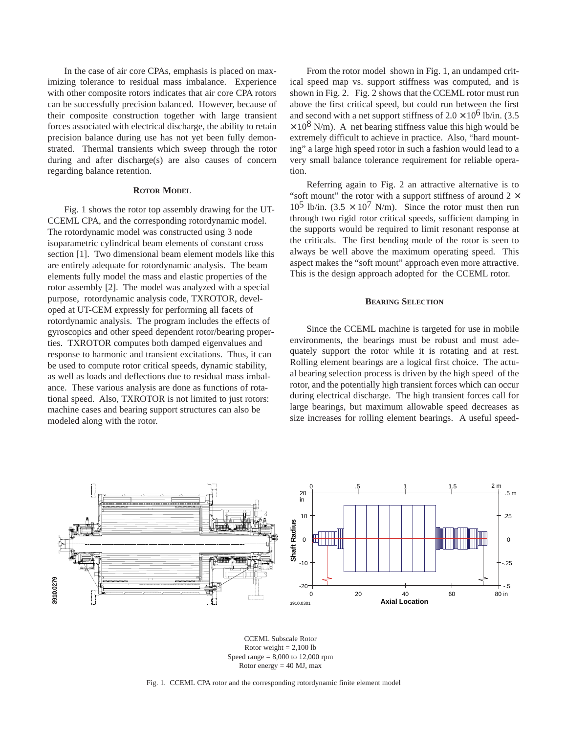In the case of air core CPAs, emphasis is placed on maximizing tolerance to residual mass imbalance. Experience with other composite rotors indicates that air core CPA rotors can be successfully precision balanced. However, because of their composite construction together with large transient forces associated with electrical discharge, the ability to retain precision balance during use has not yet been fully demonstrated. Thermal transients which sweep through the rotor during and after discharge(s) are also causes of concern regarding balance retention.

#### **ROTOR MODEL**

Fig. 1 shows the rotor top assembly drawing for the UT-CCEML CPA, and the corresponding rotordynamic model. The rotordynamic model was constructed using 3 node isoparametric cylindrical beam elements of constant cross section [1]. Two dimensional beam element models like this are entirely adequate for rotordynamic analysis. The beam elements fully model the mass and elastic properties of the rotor assembly [2]. The model was analyzed with a special purpose, rotordynamic analysis code, TXROTOR, developed at UT-CEM expressly for performing all facets of rotordynamic analysis. The program includes the effects of gyroscopics and other speed dependent rotor/bearing properties. TXROTOR computes both damped eigenvalues and response to harmonic and transient excitations. Thus, it can be used to compute rotor critical speeds, dynamic stability, as well as loads and deflections due to residual mass imbalance. These various analysis are done as functions of rotational speed. Also, TXROTOR is not limited to just rotors: machine cases and bearing support structures can also be modeled along with the rotor.

From the rotor model shown in Fig. 1, an undamped critical speed map vs. support stiffness was computed, and is shown in Fig. 2. Fig. 2 shows that the CCEML rotor must run above the first critical speed, but could run between the first and second with a net support stiffness of  $2.0 \times 10^6$  lb/in. (3.5)  $\times$  10<sup>8</sup> N/m). A net bearing stiffness value this high would be extremely difficult to achieve in practice. Also, "hard mounting" a large high speed rotor in such a fashion would lead to a very small balance tolerance requirement for reliable operation.

Referring again to Fig. 2 an attractive alternative is to "soft mount" the rotor with a support stiffness of around  $2 \times$  $10^5$  lb/in.  $(3.5 \times 10^7 \text{ N/m})$ . Since the rotor must then run through two rigid rotor critical speeds, sufficient damping in the supports would be required to limit resonant response at the criticals. The first bending mode of the rotor is seen to always be well above the maximum operating speed. This aspect makes the "soft mount" approach even more attractive. This is the design approach adopted for the CCEML rotor.

#### **BEARING SELECTION**

Since the CCEML machine is targeted for use in mobile environments, the bearings must be robust and must adequately support the rotor while it is rotating and at rest. Rolling element bearings are a logical first choice. The actual bearing selection process is driven by the high speed of the rotor, and the potentially high transient forces which can occur during electrical discharge. The high transient forces call for large bearings, but maximum allowable speed decreases as size increases for rolling element bearings. A useful speed-



CCEML Subscale Rotor Rotor weight  $= 2,100$  lb Speed range = 8,000 to 12,000 rpm Rotor energy  $= 40$  MJ, max

Fig. 1. CCEML CPA rotor and the corresponding rotordynamic finite element model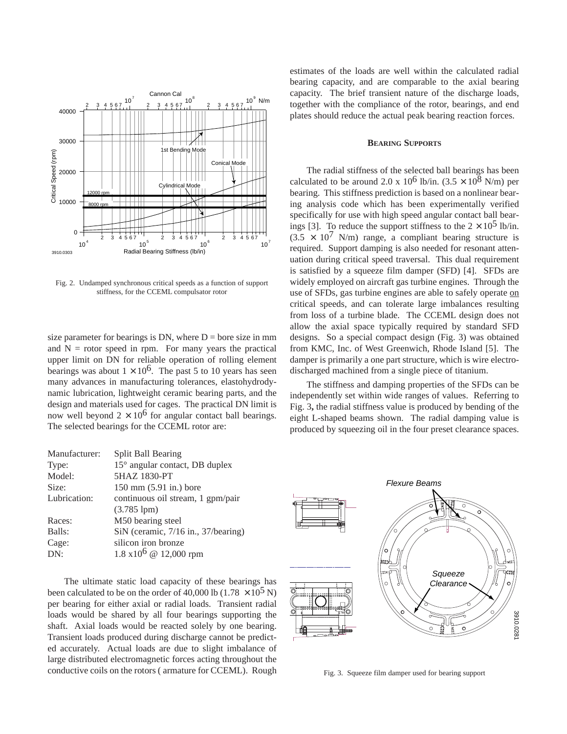

Fig. 2. Undamped synchronous critical speeds as a function of support stiffness, for the CCEML compulsator rotor

size parameter for bearings is DN, where  $D =$  bore size in mm and  $N =$  rotor speed in rpm. For many years the practical upper limit on DN for reliable operation of rolling element bearings was about  $1 \times 10^6$ . The past 5 to 10 years has seen many advances in manufacturing tolerances, elastohydrodynamic lubrication, lightweight ceramic bearing parts, and the design and materials used for cages. The practical DN limit is now well beyond  $2 \times 10^6$  for angular contact ball bearings. The selected bearings for the CCEML rotor are:

| Manufacturer: | <b>Split Ball Bearing</b>                |
|---------------|------------------------------------------|
| Type:         | 15° angular contact, DB duplex           |
| Model:        | 5HAZ 1830-PT                             |
| Size:         | $150 \text{ mm} (5.91 \text{ in.})$ bore |
| Lubrication:  | continuous oil stream, 1 gpm/pair        |
|               | $(3.785$ lpm $)$                         |
| Races:        | M50 bearing steel                        |
| Balls:        | SiN (ceramic, 7/16 in., 37/bearing)      |
| Cage:         | silicon iron bronze                      |
| DN:           | $1.8 \times 10^6$ @ 12,000 rpm           |

The ultimate static load capacity of these bearings has been calculated to be on the order of 40,000 lb (1.78  $\times$  10<sup>5</sup> N) per bearing for either axial or radial loads. Transient radial loads would be shared by all four bearings supporting the shaft. Axial loads would be reacted solely by one bearing. Transient loads produced during discharge cannot be predicted accurately. Actual loads are due to slight imbalance of large distributed electromagnetic forces acting throughout the conductive coils on the rotors ( armature for CCEML). Rough estimates of the loads are well within the calculated radial bearing capacity, and are comparable to the axial bearing capacity. The brief transient nature of the discharge loads, together with the compliance of the rotor, bearings, and end plates should reduce the actual peak bearing reaction forces.

## **BEARING SUPPORTS**

The radial stiffness of the selected ball bearings has been calculated to be around 2.0 x 10<sup>6</sup> lb/in.  $(3.5 \times 10^8$  N/m) per bearing. This stiffness prediction is based on a nonlinear bearing analysis code which has been experimentally verified specifically for use with high speed angular contact ball bearings [3]. To reduce the support stiffness to the  $2 \times 10^5$  lb/in.  $(3.5 \times 10^7 \text{ N/m})$  range, a compliant bearing structure is required. Support damping is also needed for resonant attenuation during critical speed traversal. This dual requirement is satisfied by a squeeze film damper (SFD) [4]. SFDs are widely employed on aircraft gas turbine engines. Through the use of SFDs, gas turbine engines are able to safely operate on critical speeds, and can tolerate large imbalances resulting from loss of a turbine blade. The CCEML design does not allow the axial space typically required by standard SFD designs. So a special compact design (Fig. 3) was obtained from KMC, Inc. of West Greenwich, Rhode Island [5]. The damper is primarily a one part structure, which is wire electrodischarged machined from a single piece of titanium.

The stiffness and damping properties of the SFDs can be independently set within wide ranges of values. Referring to Fig. 3**,** the radial stiffness value is produced by bending of the eight L-shaped beams shown. The radial damping value is produced by squeezing oil in the four preset clearance spaces.



Fig. 3. Squeeze film damper used for bearing support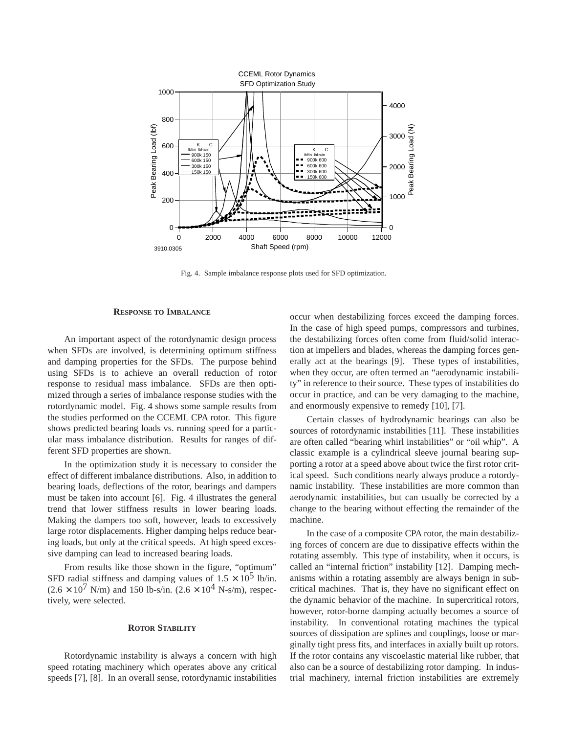

Fig. 4. Sample imbalance response plots used for SFD optimization.

# **RESPONSE TO IMBALANCE**

An important aspect of the rotordynamic design process when SFDs are involved, is determining optimum stiffness and damping properties for the SFDs. The purpose behind using SFDs is to achieve an overall reduction of rotor response to residual mass imbalance. SFDs are then optimized through a series of imbalance response studies with the rotordynamic model. Fig. 4 shows some sample results from the studies performed on the CCEML CPA rotor. This figure shows predicted bearing loads vs. running speed for a particular mass imbalance distribution. Results for ranges of different SFD properties are shown.

In the optimization study it is necessary to consider the effect of different imbalance distributions. Also, in addition to bearing loads, deflections of the rotor, bearings and dampers must be taken into account [6]. Fig. 4 illustrates the general trend that lower stiffness results in lower bearing loads. Making the dampers too soft, however, leads to excessively large rotor displacements. Higher damping helps reduce bearing loads, but only at the critical speeds. At high speed excessive damping can lead to increased bearing loads.

From results like those shown in the figure, "optimum" SFD radial stiffness and damping values of  $1.5 \times 10^5$  lb/in.  $(2.6 \times 10^7 \text{ N/m})$  and 150 lb-s/in.  $(2.6 \times 10^4 \text{ N-s/m})$ , respectively, were selected.

#### **ROTOR STABILITY**

Rotordynamic instability is always a concern with high speed rotating machinery which operates above any critical speeds [7], [8]. In an overall sense, rotordynamic instabilities

occur when destabilizing forces exceed the damping forces. In the case of high speed pumps, compressors and turbines, the destabilizing forces often come from fluid/solid interaction at impellers and blades, whereas the damping forces generally act at the bearings [9]. These types of instabilities, when they occur, are often termed an "aerodynamic instability" in reference to their source. These types of instabilities do occur in practice, and can be very damaging to the machine, and enormously expensive to remedy [10], [7].

Certain classes of hydrodynamic bearings can also be sources of rotordynamic instabilities [11]. These instabilities are often called "bearing whirl instabilities" or "oil whip". A classic example is a cylindrical sleeve journal bearing supporting a rotor at a speed above about twice the first rotor critical speed. Such conditions nearly always produce a rotordynamic instability. These instabilities are more common than aerodynamic instabilities, but can usually be corrected by a change to the bearing without effecting the remainder of the machine.

In the case of a composite CPA rotor, the main destabilizing forces of concern are due to dissipative effects within the rotating assembly. This type of instability, when it occurs, is called an "internal friction" instability [12]. Damping mechanisms within a rotating assembly are always benign in subcritical machines. That is, they have no significant effect on the dynamic behavior of the machine. In supercritical rotors, however, rotor-borne damping actually becomes a source of instability. In conventional rotating machines the typical sources of dissipation are splines and couplings, loose or marginally tight press fits, and interfaces in axially built up rotors. If the rotor contains any viscoelastic material like rubber, that also can be a source of destabilizing rotor damping. In industrial machinery, internal friction instabilities are extremely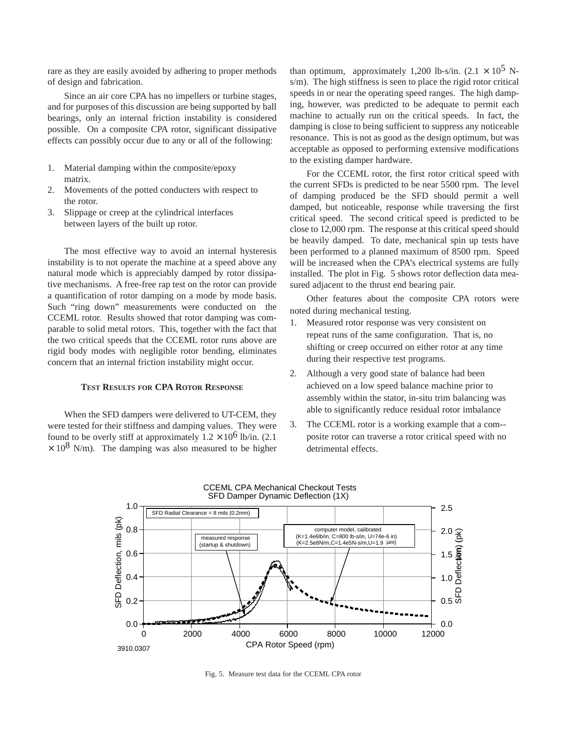rare as they are easily avoided by adhering to proper methods of design and fabrication.

Since an air core CPA has no impellers or turbine stages, and for purposes of this discussion are being supported by ball bearings, only an internal friction instability is considered possible. On a composite CPA rotor, significant dissipative effects can possibly occur due to any or all of the following:

- 1. Material damping within the composite/epoxy matrix.
- 2. Movements of the potted conducters with respect to the rotor.
- 3. Slippage or creep at the cylindrical interfaces between layers of the built up rotor.

The most effective way to avoid an internal hysteresis instability is to not operate the machine at a speed above any natural mode which is appreciably damped by rotor dissipative mechanisms. A free-free rap test on the rotor can provide a quantification of rotor damping on a mode by mode basis. Such "ring down" measurements were conducted on the CCEML rotor. Results showed that rotor damping was comparable to solid metal rotors. This, together with the fact that the two critical speeds that the CCEML rotor runs above are rigid body modes with negligible rotor bending, eliminates concern that an internal friction instability might occur.

# **TEST RESULTS FOR CPA ROTOR RESPONSE**

When the SFD dampers were delivered to UT-CEM, they were tested for their stiffness and damping values. They were found to be overly stiff at approximately  $1.2 \times 10^6$  lb/in. (2.1)  $\times$  10<sup>8</sup> N/m). The damping was also measured to be higher

than optimum, approximately 1,200 lb-s/in.  $(2.1 \times 10^5$  Ns/m). The high stiffness is seen to place the rigid rotor critical speeds in or near the operating speed ranges. The high damping, however, was predicted to be adequate to permit each machine to actually run on the critical speeds. In fact, the damping is close to being sufficient to suppress any noticeable resonance. This is not as good as the design optimum, but was acceptable as opposed to performing extensive modifications to the existing damper hardware.

For the CCEML rotor, the first rotor critical speed with the current SFDs is predicted to be near 5500 rpm. The level of damping produced be the SFD should permit a well damped, but noticeable, response while traversing the first critical speed. The second critical speed is predicted to be close to 12,000 rpm. The response at this critical speed should be heavily damped. To date, mechanical spin up tests have been performed to a planned maximum of 8500 rpm. Speed will be increased when the CPA's electrical systems are fully installed. The plot in Fig. 5 shows rotor deflection data measured adjacent to the thrust end bearing pair.

Other features about the composite CPA rotors were noted during mechanical testing.

- 1. Measured rotor response was very consistent on repeat runs of the same configuration. That is, no shifting or creep occurred on either rotor at any time during their respective test programs.
- 2. Although a very good state of balance had been achieved on a low speed balance machine prior to assembly within the stator, in-situ trim balancing was able to significantly reduce residual rotor imbalance
- 3. The CCEML rotor is a working example that a com- posite rotor can traverse a rotor critical speed with no detrimental effects.



Fig. 5. Measure test data for the CCEML CPA rotor